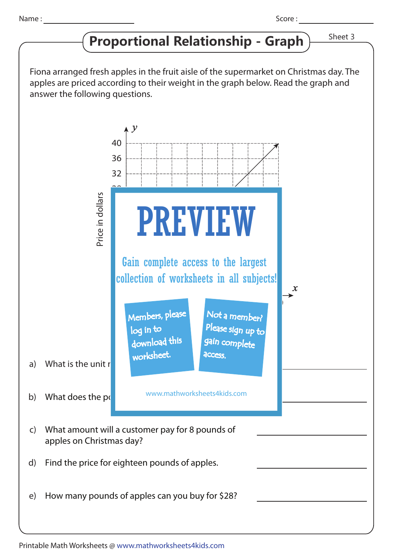## **Proportional Relationship - Graph** > Sheet 3

Fiona arranged fresh apples in the fruit aisle of the supermarket on Christmas day. The apples are priced according to their weight in the graph below. Read the graph and answer the following questions.